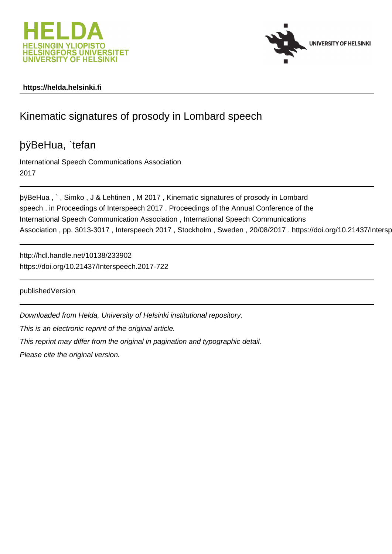



## **https://helda.helsinki.fi**

# Kinematic signatures of prosody in Lombard speech

# þÿBeHua, `tefan

International Speech Communications Association 2017

þÿBeHua, `, Simko, J & Lehtinen, M 2017, Kinematic signatures of pr speech . in Proceedings of Interspeech 2017 . Proceedings of the Annual Conference of the International Speech Communication Association , International Speech Communications Association, pp. 3013-3017, Interspeech 2017, Stockholm, Sweden, 20/08/2017. https://doi.org/10.21437/Intersp

http://hdl.handle.net/10138/233902 https://doi.org/10.21437/Interspeech.2017-722

publishedVersion

Downloaded from Helda, University of Helsinki institutional repository.

This is an electronic reprint of the original article.

This reprint may differ from the original in pagination and typographic detail.

Please cite the original version.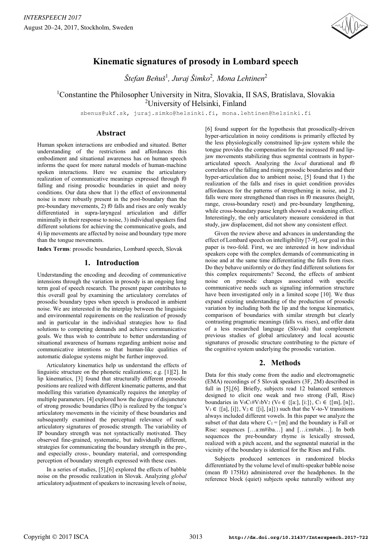

## **Kinematic signatures of prosody in Lombard speech**

 $\check{S}$ tefan Beňuš<sup>1</sup>, Juraj Šimko<sup>2</sup>, Mona Lehtinen<sup>2</sup>

<sup>1</sup>Constantine the Philosopher University in Nitra, Slovakia, II SAS, Bratislava, Slovakia 2 University of Helsinki, Finland

sbenus@ukf.sk, juraj.simko@helsinki.fi, mona.lehtinen@helsinki.fi

### **Abstract**

Human spoken interactions are embodied and situated. Better understanding of the restrictions and affordances this embodiment and situational awareness has on human speech informs the quest for more natural models of human-machine spoken interactions. Here we examine the articulatory realization of communicative meanings expressed through f0 falling and rising prosodic boundaries in quiet and noisy conditions. Our data show that 1) the effect of environmental noise is more robustly present in the post-boundary than the pre-boundary movements, 2) f0 falls and rises are only weakly differentiated in supra-laryngeal articulation and differ minimally in their response to noise, 3) individual speakers find different solutions for achieving the communicative goals, and 4) lip movements are affected by noise and boundary type more than the tongue movements.

**Index Terms**: prosodic boundaries, Lombard speech, Slovak

## **1. Introduction**

Understanding the encoding and decoding of communicative intensions through the variation in prosody is an ongoing long term goal of speech research. The present paper contributes to this overall goal by examining the articulatory correlates of prosodic boundary types when speech is produced in ambient noise. We are interested in the interplay between the linguistic and environmental requirements on the realization of prosody and in particular in the individual strategies how to find solutions to competing demands and achieve communicative goals. We thus wish to contribute to better understanding of situational awareness of humans regarding ambient noise and communicative intentions so that human-like qualities of automatic dialogue systems might be further improved.

Articulatory kinematics help us understand the effects of linguistic structure on the phonetic realizations; e.g. [1][2]. In lip kinematics, [3] found that structurally different prosodic positions are realized with different kinematic patterns, and that modelling this variation dynamically requires the interplay of multiple parameters. [4] explored how the degree of disjuncture of strong prosodic boundaries (IPs) is realized by the tongue's articulatory movements in the vicinity of these boundaries and subsequently examined the perceptual relevance of such articulatory signatures of prosodic strength. The variability of IP boundary strength was not syntactically motivated. They observed fine-grained, systematic, but individually different, strategies for communicating the boundary strength in the pre-, and especially cross-, boundary material, and corresponding perception of boundary strength expressed with these cues.

In a series of studies, [5],[6] explored the effects of babble noise on the prosodic realization in Slovak. Analyzing *global* articulatory adjustment of speakers to increasing levels of noise, [6] found support for the hypothesis that prosodically-driven hyper-articulation in noisy conditions is primarily effected by the less physiologically constrained lip-jaw system while the tongue provides the compensation for the increased f0 and lipjaw movements stabilizing thus segmental contrasts in hyperarticulated speech. Analyzing the *local* durational and f0 correlates of the falling and rising prosodic boundaries and their hyper-articulation due to ambient noise, [5] found that 1) the realization of the falls and rises in quiet condition provides affordances for the patterns of strengthening in noise, and 2) falls were more strengthened than rises in f0 measures (height, range, cross-boundary reset) and pre-boundary lengthening, while cross-boundary pause length showed a weakening effect. Interestingly, the only articulatory measure considered in that study, jaw displacement, did not show any consistent effect.

Given the review above and advances in understanding the effect of Lombard speech on intelligibility [7-9], our goal in this paper is two-fold. First, we are interested in how individual speakers cope with the complex demands of communicating in noise and at the same time differentiating the falls from rises. Do they behave uniformly or do they find different solutions for this complex requirements? Second, the effects of ambient noise on prosodic changes associated with specific communicative needs such as signaling information structure have been investigated only in a limited scope [10]. We thus expand existing understanding of the production of prosodic variation by including both the lip and the tongue kinematics, comparison of boundaries with similar strength but clearly contrasting pragmatic meanings (falls vs. rises), and offer data of a less researched language (Slovak) that complement previous studies of global articulatory and local acoustic signatures of prosodic structure contributing to the picture of the cognitive system underlying the prosodic variation.

## **2. Methods**

Data for this study come from the audio and electromagnetic (EMA) recordings of 5 Slovak speakers (3F, 2M) described in full in [5],[6]. Briefly, subjects read 12 balanced sentences designed to elicit one weak and two strong (Fall, Rise) boundaries in  $V_0C_1\#V_1bV_2$  ( $V_0 \in \{[a:], [i:]\}, C_1 \in \{[m], [n]\},$  $V_1 \in \{ [a], [i] \}, V_2 \in \{ [i], [a] \}$  such that the V-to-V transitions always included different vowels. In this paper we analyze the subset of that data where  $C_1 = [m]$  and the boundary is Fall or Rise: sequences […a:m#iba…] and […i:m#abi…]. In both sequences the pre-boundary rhyme is lexically stressed, realized with a pitch accent, and the segmental material in the vicinity of the boundary is identical for the Rises and Falls.

Subjects produced sentences in randomized blocks differentiated by the volume level of multi-speaker babble noise (mean f0 175Hz) administered over the headphones. In the reference block (quiet) subjects spoke naturally without any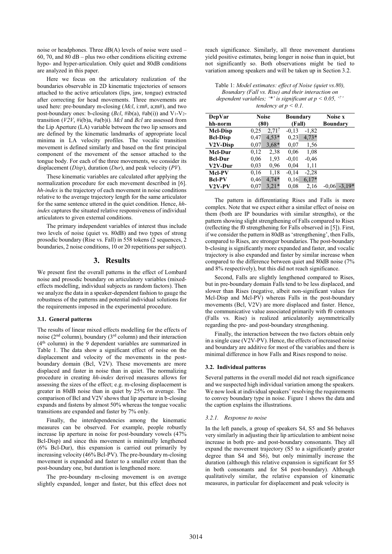noise or headphones. Three dB(A) levels of noise were used – 60, 70, and 80 dB – plus two other conditions eliciting extreme hypo- and hyper-articulation. Only quiet and 80dB conditions are analyzed in this paper.

Here we focus on the articulatory realization of the boundaries observable in 2D kinematic trajectories of sensors attached to the active articulators (lips, jaw, tongue) extracted after correcting for head movements. Three movements are used here: pre-boundary m-closing (*Mcl*, i:m#, a;m#), and two post-boundary ones: b-closing (*Bcl*, #ib(a), #ab(i)) and V<sub>1</sub>-V<sub>2</sub>transition (*V2V*, #i(b)a, #a(b)i). *Mcl* and *Bcl* are assessed from the Lip Aperture (LA) variable between the two lip sensors and are defined by the kinematic landmarks of appropriate local minima in LA velocity profiles. The vocalic transition movement is defined similarly and based on the first principal component of the movement of the sensor attached to the tongue body. For each of the three movements, we consider its displacement (*Disp*), duration (*Dur*), and peak velocity (*PV*).

These kinematic variables are calculated after applying the normalization procedure for each movement described in [6]. *hh-index* is the trajectory of each movement in noise conditions relative to the average trajectory length for the same articulator for the same sentence uttered in the quiet condition. Hence, *hhindex* captures the situated relative responsiveness of individual articulators to given external conditions.

The primary independent variables of interest thus include two levels of noise (quiet vs. 80dB) and two types of strong prosodic boundary (Rise vs. Fall) in 558 tokens (2 sequences, 2 boundaries, 2 noise conditions, 10 or 20 repetitions per subject).

#### **3. Results**

We present first the overall patterns in the effect of Lombard noise and prosodic boundary on articulatory variables (mixedeffects modelling, individual subjects as random factors). Then we analyze the data in a speaker-dependent fashion to gauge the robustness of the patterns and potential individual solutions for the requirements imposed in the experimental procedure.

#### **3.1. General patterns**

The results of linear mixed effects modelling for the effects of noise ( $2<sup>nd</sup>$  column), boundary ( $3<sup>rd</sup>$  column) and their interaction (4th column) in the 9 dependent variables are summarized in Table 1. The data show a significant effect of noise on the displacement and velocity of the movements in the postboundary domain (Bcl, V2V). These movements are more displaced and faster in noise than in quiet. The normalizing procedure in creating *hh-index* derived measures allows for assessing the sizes of the effect; e.g. m-closing displacement is greater in 80dB noise than in quiet by 25% on average. The comparison of Bcl and V2V shows that lip aperture in b-closing expands and fastens by almost 50% whereas the tongue vocalic transitions are expanded and faster by 7% only.

Finally, the interdependencies among the kinematic measures can be observed. For example, people robustly increase lip aperture in noise for post-boundary vowels (47% Bcl-Disp) and since this movement is minimally lengthened (6% Bcl-Dur), this expansion is carried out primarily by increasing velocity (46% Bcl-PV). The pre-boundary m-closing movement is expanded and faster to a smaller extent than the post-boundary one, but duration is lengthened more.

The pre-boundary m-closing movement is on average slightly expanded, longer and faster, but this effect does not reach significance. Similarly, all three movement durations yield positive estimates, being longer in noise than in quiet, but not significantly so. Both observations might be tied to variation among speakers and will be taken up in Section 3.2.

| Table 1: Model estimates: effect of Noise (quiet vs. 80),  |
|------------------------------------------------------------|
| Boundary (Fall vs. Rise) and their interaction on          |
| dependent variables; '*' is significant at $p < 0.05$ , '' |
| tendency at $p < 0.1$ .                                    |

| DepVar                | Noise |          | <b>Boundary</b> |         | Noise x         |          |
|-----------------------|-------|----------|-----------------|---------|-----------------|----------|
| hh-norm               | (80)  |          | (Fall)          |         | <b>Boundary</b> |          |
| <b>Mcl-Disp</b>       | 0,25  | $2,71$ ? | $-0.13$         | $-1,82$ |                 |          |
| <b>Bcl-Disp</b>       | 0.47  | $4,53*$  | 0,23            | $4,73*$ |                 |          |
| V <sub>2</sub> V-Disp | 0,07  | $3.68*$  | 0,07            | 1,56    |                 |          |
| Mcl-Dur               | 0,12  | 2,38     | 0,06            | 1,08    |                 |          |
| <b>Bel-Dur</b>        | 0,06  | 1,93     | $-0.01$         | $-0.46$ |                 |          |
| V2V-Dur               | 0.03  | 0.96     | 0,04            | 1,11    |                 |          |
| Mcl-PV                | 0,16  | 1,18     | $-0.14$         | $-2,28$ |                 |          |
| <b>Bcl-PV</b>         | 0,46  | $4,74*$  | 0,16            | $6,17*$ |                 |          |
| V2V-PV                | 0.07  | $3,21*$  | 0.08            | 2,16    | -0.06           | $-3.19*$ |

The pattern in differentiating Rises and Falls is more complex. Note that we expect either a similar effect of noise on them (both are IP boundaries with similar strengths), or the pattern showing slight strengthening of Falls compared to Rises (reflecting the f0 strengthening for Falls observed in [5]). First, if we consider the pattern in 80dB as 'strengthening', then Falls, compared to Rises, are stronger boundaries. The post-boundary b-closing is significantly more expanded and faster, and vocalic trajectory is also expanded and faster by similar increase when compared to the difference between quiet and 80dB noise (7% and 8% respectively), but this did not reach significance.

Second, Falls are slightly lengthened compared to Rises, but in pre-boundary domain Falls tend to be less displaced, and slower than Rises (negative, albeit non-significant values for Mcl-Disp and Mcl-PV) whereas Falls in the post-boundary movements (Bcl, V2V) are more displaced and faster. Hence, the communicative value associated primarily with f0 contours (Falls vs. Rise) is realized articulatorily asymmetrically regarding the pre- and post-boundary strengthening.

Finally, the interaction between the two factors obtain only in a single case (V2V-PV). Hence, the effects of increased noise and boundary are additive for most of the variables and there is minimal difference in how Falls and Rises respond to noise.

#### **3.2. Individual patterns**

Several patterns in the overall model did not reach significance and we suspected high individual variation among the speakers. We now look at individual speakers' resolving the requirements to convey boundary type in noise. Figure 1 shows the data and the caption explains the illustrations.

#### *3.2.1. Response to noise*

In the left panels, a group of speakers S4, S5 and S6 behaves very similarly in adjusting their lip articulation to ambient noise increase in both pre- and post-boundary consonants. They all expand the movement trajectory (S5 to a significantly greater degree than S4 and S6), but only minimally increase the duration (although this relative expansion is significant for S5 in both consonants and for S4 post-boundary). Although qualitatively similar, the relative expansion of kinematic measures, in particular for displacement and peak velocity is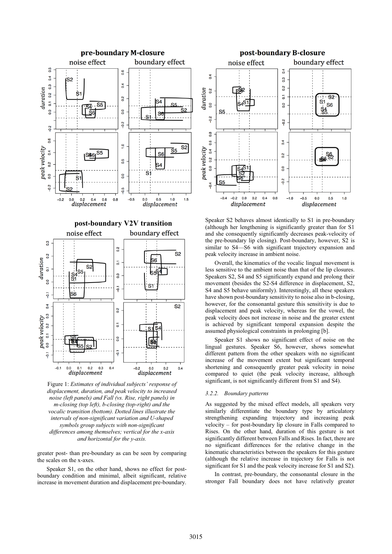

Figure 1: *Estimates of individual subjects' response of displacement, duration, and peak velocity to increased noise (left panels) and Fall (vs. Rise, right panels) in m-closing (top left), b-closing (top-right) and the vocalic transition (bottom). Dotted lines illustrate the intervals of non-significant variation and U-shaped symbols group subjects with non-significant differences among themselves; vertical for the x-axis and horizontal for the y-axis.* 

greater post- than pre-boundary as can be seen by comparing the scales on the x-axes.

Speaker S1, on the other hand, shows no effect for postboundary condition and minimal, albeit significant, relative increase in movement duration and displacement pre-boundary.



Speaker S2 behaves almost identically to S1 in pre-boundary (although her lengthening is significantly greater than for S1 and she consequently significantly decreases peak-velocity of the pre-boundary lip closing). Post-boundary, however, S2 is similar to S4—S6 with significant trajectory expansion and peak velocity increase in ambient noise.

Overall, the kinematics of the vocalic lingual movement is less sensitive to the ambient noise than that of the lip closures. Speakers S2, S4 and S5 significantly expand and prolong their movement (besides the S2-S4 difference in displacement, S2, S4 and S5 behave uniformly). Interestingly, all these speakers have shown post-boundary sensitivity to noise also in b-closing, however, for the consonantal gesture this sensitivity is due to displacement and peak velocity, whereas for the vowel, the peak velocity does not increase in noise and the greater extent is achieved by significant temporal expansion despite the assumed physiological constraints in prolonging [b].

Speaker S1 shows no significant effect of noise on the lingual gestures. Speaker S6, however, shows somewhat different pattern from the other speakers with no significant increase of the movement extent but significant temporal shortening and consequently greater peak velocity in noise compared to quiet (the peak velocity increase, although significant, is not significantly different from S1 and S4).

#### *3.2.2. Boundary patterns*

As suggested by the mixed effect models, all speakers very similarly differentiate the boundary type by articulatory strengthening expanding trajectory and increasing peak velocity – for post-boundary lip closure in Falls compared to Rises. On the other hand, duration of this gesture is not significantly different between Falls and Rises. In fact, there are no significant differences for the relative change in the kinematic characteristics between the speakers for this gesture (although the relative increase in trajectory for Falls is not significant for S1 and the peak velocity increase for S1 and S2).

In contrast, pre-boundary, the consonantal closure in the stronger Fall boundary does not have relatively greater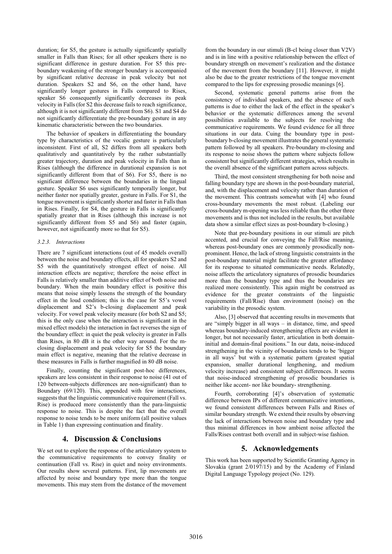duration; for S5, the gesture is actually significantly spatially smaller in Falls than Rises; for all other speakers there is no significant difference in gesture duration. For S5 this preboundary weakening of the stronger boundary is accompanied by significant relative decrease in peak velocity but not duration. Speakers S2 and S6, on the other hand, have significantly longer gestures in Falls compared to Rises, speaker S6 consequently significantly decreases its peak velocity in Falls (for S2 this decrease fails to reach significance, although it is not significantly different from S6). S1 and S4 do not significantly differentiate the pre-boundary gesture in any kinematic characteristic between the two boundaries.

The behavior of speakers in differentiating the boundary type by characteristics of the vocalic gesture is particularly inconsistent. First of all, S2 differs from all speakers both qualitatively and quantitatively by the rather substantially greater trajectory, duration and peak velocity in Falls than in Rises (although the difference in durational expansion is not significantly different from that of S6). For S5, there is no significant difference between the boundaries in the lingual gesture. Speaker S6 uses significantly temporally longer, but neither faster nor spatially greater, gesture in Falls. For S1, the tongue movement is significantly shorter and faster in Falls than in Rises. Finally, for S4, the gesture in Falls is significantly spatially greater that in Rises (although this increase is not significantly different from S5 and S6) and faster (again, however, not significantly more so that for S5).

#### *3.2.3. Interactions*

There are 7 significant interactions (out of 45 models overall) between the noise and boundary effects, all for speakers S2 and S5 with the quantitatively strongest effect of noise. All interaction effects are negative; therefore the noise effect in Falls is relatively smaller than additive effect of both noise and boundary. When the main boundary effect is positive this means that noise simply lessens the strength of the boundary effect in the loud condition; this is the case for S5's vowel displacement and S2's b-closing displacement and peak velocity. For vowel peak velocity measure (for both S2 and S5; this is the only case when the interaction is significant in the mixed effect models) the interaction in fact reverses the sign of the boundary effect: in quiet the peak velocity is greater in Falls than Rises, in 80 dB it is the other way around. For the mclosing displacement and peak velocity for S5 the boundary main effect is negative, meaning that the relative decrease in these measures in Falls is further magnified in 80 dB noise.

Finally, counting the significant post-hoc differences, speakers are less consistent in their response to noise (41 out of 120 between-subjects differences are non-significant) than to Boundary (69/120). This, appended with few interactions, suggests that the linguistic communicative requirement (Fall vs. Rise) is produced more consistently than the para-linguistic response to noise. This is despite the fact that the overall response to noise tends to be more uniform (all positive values in Table 1) than expressing continuation and finality.

## **4. Discussion & Conclusions**

We set out to explore the response of the articulatory system to the communicative requirements to convey finality or continuation (Fall vs. Rise) in quiet and noisy environments. Our results show several patterns. First, lip movements are affected by noise and boundary type more than the tongue movements. This may stem from the distance of the movement from the boundary in our stimuli (B-cl being closer than V2V) and is in line with a positive relationship between the effect of boundary strength on movement's realization and the distance of the movement from the boundary [11]. However, it might also be due to the greater restrictions of the tongue movement compared to the lips for expressing prosodic meanings [6].

Second, systematic general patterns arise from the consistency of individual speakers, and the absence of such patterns is due to either the lack of the effect in the speaker's behavior or the systematic differences among the several possibilities available to the subjects for resolving the communicative requirements. We found evidence for all three situations in our data. Cuing the boundary type in postboundary b-closing movement illustrates the general systematic pattern followed by all speakers. Pre-boundary m-closing and its response to noise shows the pattern where subjects follow consistent but significantly different strategies, which results in the overall absence of the significant pattern across subjects.

Third, the most consistent strengthening for both noise and falling boundary type are shown in the post-boundary material, and, with the displacement and velocity rather than duration of the movement. This contrasts somewhat with [4] who found cross-boundary movements the most robust. (Labeling our cross-boundary m-opening was less reliable than the other three movements and is thus not included in the results, but available data show a similar effect sizes as post-boundary b-closing.)

Note that pre-boundary positions in our stimuli are pitch accented, and crucial for conveying the Fall/Rise meaning, whereas post-boundary ones are commonly prosodically nonprominent. Hence, the lack of strong linguistic constraints in the post-boundary material might facilitate the greater affordance for its response to situated communicative needs. Relatedly, noise affects the articulatory signatures of prosodic boundaries more than the boundary type and thus the boundaries are realized more consistently. This again might be construed as evidence for the greater constraints of the linguistic requirements (Fall/Rise) than environment (noise) on the variability in the prosodic system.

Also, [3] observed that accenting results in movements that are "simply bigger in all ways – in distance, time, and speed whereas boundary-induced strengthening effects are evident in longer, but not necessarily faster, articulation in both domaininitial and domain-final positions." In our data, noise-induced strengthening in the vicinity of boundaries tends to be 'bigger in all ways' but with a systematic pattern (greatest spatial expansion, smaller durational lengthening, and medium velocity increase) and consistent subject differences. It seems that noise-induced strengthening of prosodic boundaries is neither like accent- nor like boundary- strengthening.

Fourth, corroborating [4]'s observation of systematic difference between IPs of different communicative intentions, we found consistent differences between Falls and Rises of similar boundary strength. We extend their results by observing the lack of interactions between noise and boundary type and thus minimal differences in how ambient noise affected the Falls/Rises contrast both overall and in subject-wise fashion.

## **5. Acknowledgements**

This work has been supported by Scientific Granting Agency in Slovakia (grant 2/0197/15) and by the Academy of Finland Digital Language Typology project (No. 129).